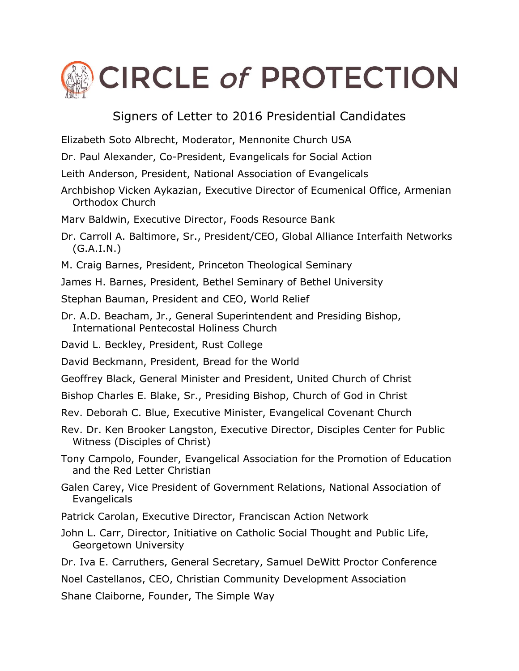## **CIRCLE of PROTECTION**

## Signers of Letter to 2016 Presidential Candidates

Elizabeth Soto Albrecht, Moderator, Mennonite Church USA

Dr. Paul Alexander, Co-President, Evangelicals for Social Action

- Leith Anderson, President, National Association of Evangelicals
- Archbishop Vicken Aykazian, Executive Director of Ecumenical Office, Armenian Orthodox Church
- Marv Baldwin, Executive Director, Foods Resource Bank
- Dr. Carroll A. Baltimore, Sr., President/CEO, Global Alliance Interfaith Networks  $(G.A.I.N.)$
- M. Craig Barnes, President, Princeton Theological Seminary
- James H. Barnes, President, Bethel Seminary of Bethel University
- Stephan Bauman, President and CEO, World Relief
- Dr. A.D. Beacham, Jr., General Superintendent and Presiding Bishop, International Pentecostal Holiness Church
- David L. Beckley, President, Rust College
- David Beckmann, President, Bread for the World
- Geoffrey Black, General Minister and President, United Church of Christ
- Bishop Charles E. Blake, Sr., Presiding Bishop, Church of God in Christ
- Rev. Deborah C. Blue, Executive Minister, Evangelical Covenant Church
- Rev. Dr. Ken Brooker Langston, Executive Director, Disciples Center for Public Witness (Disciples of Christ)
- Tony Campolo, Founder, Evangelical Association for the Promotion of Education and the Red Letter Christian
- Galen Carey, Vice President of Government Relations, National Association of Evangelicals
- Patrick Carolan, Executive Director, Franciscan Action Network
- John L. Carr, Director, Initiative on Catholic Social Thought and Public Life, Georgetown University
- Dr. Iva E. Carruthers, General Secretary, Samuel DeWitt Proctor Conference

Noel Castellanos, CEO, Christian Community Development Association

Shane Claiborne, Founder, The Simple Way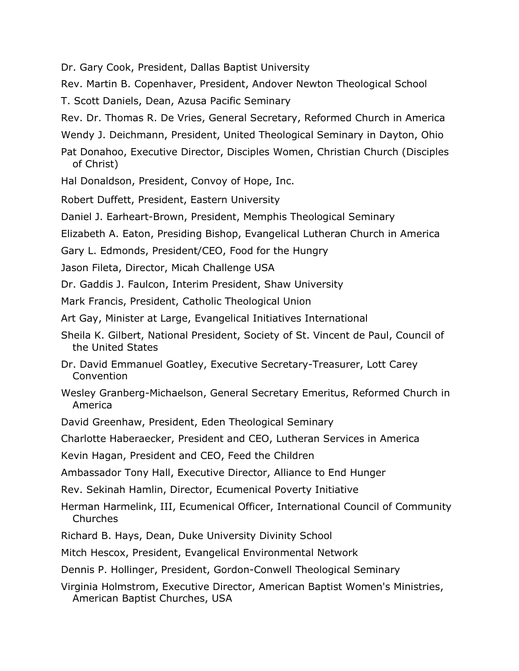Dr. Gary Cook, President, Dallas Baptist University

Rev. Martin B. Copenhaver, President, Andover Newton Theological School

- T. Scott Daniels, Dean, Azusa Pacific Seminary
- Rev. Dr. Thomas R. De Vries, General Secretary, Reformed Church in America
- Wendy J. Deichmann, President, United Theological Seminary in Dayton, Ohio
- Pat Donahoo, Executive Director, Disciples Women, Christian Church (Disciples of Christ)
- Hal Donaldson, President, Convoy of Hope, Inc.
- Robert Duffett, President, Eastern University
- Daniel J. Earheart-Brown, President, Memphis Theological Seminary
- Elizabeth A. Eaton, Presiding Bishop, Evangelical Lutheran Church in America
- Gary L. Edmonds, President/CEO, Food for the Hungry
- Jason Fileta, Director, Micah Challenge USA
- Dr. Gaddis J. Faulcon, Interim President, Shaw University
- Mark Francis, President, Catholic Theological Union
- Art Gay, Minister at Large, Evangelical Initiatives International
- Sheila K. Gilbert, National President, Society of St. Vincent de Paul, Council of the United States
- Dr. David Emmanuel Goatley, Executive Secretary-Treasurer, Lott Carey Convention
- Wesley Granberg-Michaelson, General Secretary Emeritus, Reformed Church in America
- David Greenhaw, President, Eden Theological Seminary
- Charlotte Haberaecker, President and CEO, Lutheran Services in America
- Kevin Hagan, President and CEO, Feed the Children
- Ambassador Tony Hall, Executive Director, Alliance to End Hunger
- Rev. Sekinah Hamlin, Director, Ecumenical Poverty Initiative
- Herman Harmelink, III, Ecumenical Officer, International Council of Community Churches
- Richard B. Hays, Dean, Duke University Divinity School
- Mitch Hescox, President, Evangelical Environmental Network
- Dennis P. Hollinger, President, Gordon-Conwell Theological Seminary
- Virginia Holmstrom, Executive Director, American Baptist Women's Ministries, American Baptist Churches, USA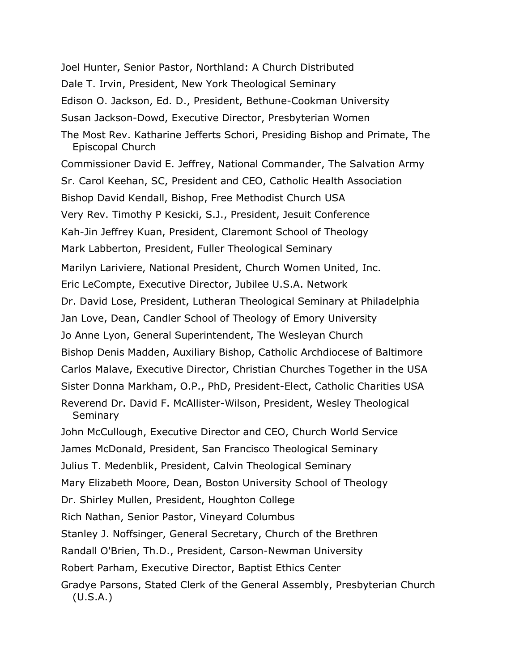Joel Hunter, Senior Pastor, Northland: A Church Distributed Dale T. Irvin, President, New York Theological Seminary Edison O. Jackson, Ed. D., President, Bethune-Cookman University Susan Jackson-Dowd, Executive Director, Presbyterian Women The Most Rev. Katharine Jefferts Schori, Presiding Bishop and Primate, The Episcopal Church Commissioner David E. Jeffrey, National Commander, The Salvation Army Sr. Carol Keehan, SC, President and CEO, Catholic Health Association Bishop David Kendall, Bishop, Free Methodist Church USA Very Rev. Timothy P Kesicki, S.J., President, Jesuit Conference Kah-Jin Jeffrey Kuan, President, Claremont School of Theology Mark Labberton, President, Fuller Theological Seminary Marilyn Lariviere, National President, Church Women United, Inc. Eric LeCompte, Executive Director, Jubilee U.S.A. Network Dr. David Lose, President, Lutheran Theological Seminary at Philadelphia Jan Love, Dean, Candler School of Theology of Emory University Jo Anne Lyon, General Superintendent, The Wesleyan Church Bishop Denis Madden, Auxiliary Bishop, Catholic Archdiocese of Baltimore Carlos Malave, Executive Director, Christian Churches Together in the USA Sister Donna Markham, O.P., PhD, President-Elect, Catholic Charities USA Reverend Dr. David F. McAllister-Wilson, President, Wesley Theological Seminary John McCullough, Executive Director and CEO, Church World Service James McDonald, President, San Francisco Theological Seminary Julius T. Medenblik, President, Calvin Theological Seminary Mary Elizabeth Moore, Dean, Boston University School of Theology Dr. Shirley Mullen, President, Houghton College Rich Nathan, Senior Pastor, Vineyard Columbus Stanley J. Noffsinger, General Secretary, Church of the Brethren Randall O'Brien, Th.D., President, Carson-Newman University Robert Parham, Executive Director, Baptist Ethics Center Gradye Parsons, Stated Clerk of the General Assembly, Presbyterian Church (U.S.A.)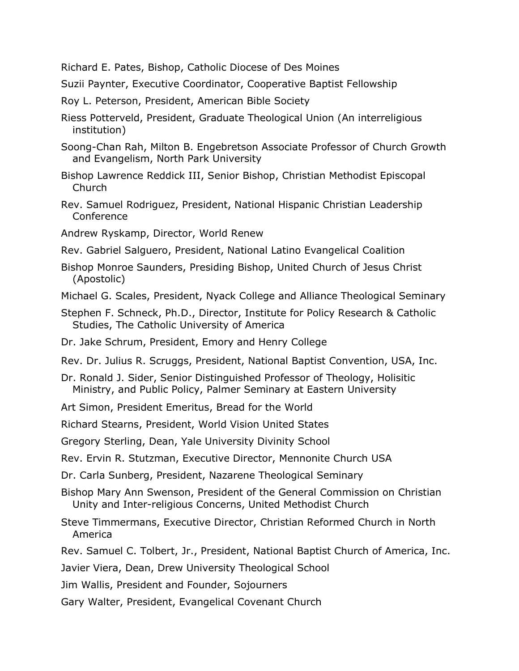Richard E. Pates, Bishop, Catholic Diocese of Des Moines

Suzii Paynter, Executive Coordinator, Cooperative Baptist Fellowship

Roy L. Peterson, President, American Bible Society

- Riess Potterveld, President, Graduate Theological Union (An interreligious institution)
- Soong-Chan Rah, Milton B. Engebretson Associate Professor of Church Growth and Evangelism, North Park University
- Bishop Lawrence Reddick III, Senior Bishop, Christian Methodist Episcopal Church
- Rev. Samuel Rodriguez, President, National Hispanic Christian Leadership Conference

Andrew Ryskamp, Director, World Renew

- Rev. Gabriel Salguero, President, National Latino Evangelical Coalition
- Bishop Monroe Saunders, Presiding Bishop, United Church of Jesus Christ (Apostolic)
- Michael G. Scales, President, Nyack College and Alliance Theological Seminary
- Stephen F. Schneck, Ph.D., Director, Institute for Policy Research & Catholic Studies, The Catholic University of America
- Dr. Jake Schrum, President, Emory and Henry College
- Rev. Dr. Julius R. Scruggs, President, National Baptist Convention, USA, Inc.
- Dr. Ronald J. Sider, Senior Distinguished Professor of Theology, Holisitic Ministry, and Public Policy, Palmer Seminary at Eastern University
- Art Simon, President Emeritus, Bread for the World

Richard Stearns, President, World Vision United States

Gregory Sterling, Dean, Yale University Divinity School

Rev. Ervin R. Stutzman, Executive Director, Mennonite Church USA

Dr. Carla Sunberg, President, Nazarene Theological Seminary

Bishop Mary Ann Swenson, President of the General Commission on Christian Unity and Inter-religious Concerns, United Methodist Church

Steve Timmermans, Executive Director, Christian Reformed Church in North America

Rev. Samuel C. Tolbert, Jr., President, National Baptist Church of America, Inc.

Javier Viera, Dean, Drew University Theological School

Jim Wallis, President and Founder, Sojourners

Gary Walter, President, Evangelical Covenant Church